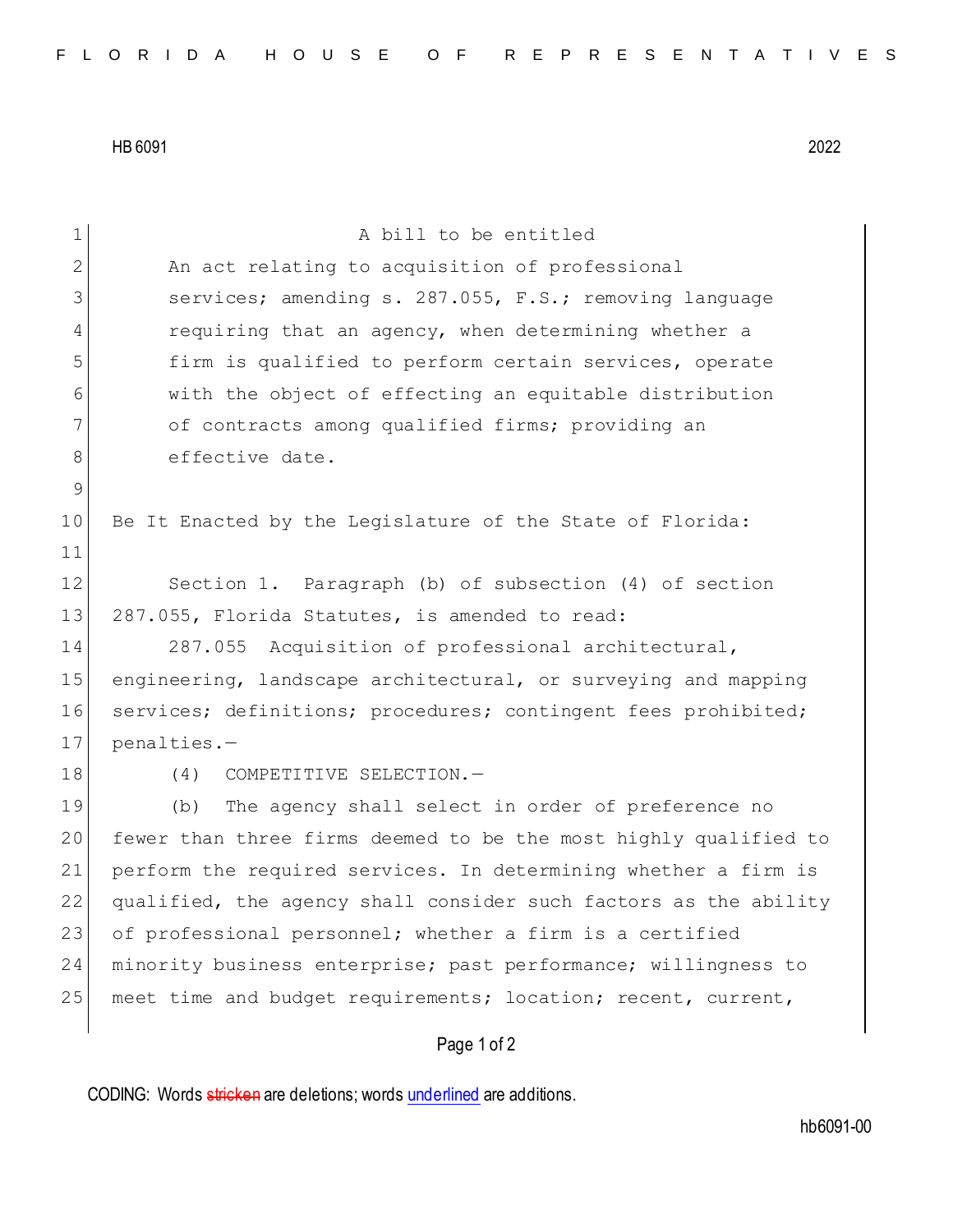HB 6091 2022

| $\mathbf 1$ | A bill to be entitled                                            |
|-------------|------------------------------------------------------------------|
| 2           | An act relating to acquisition of professional                   |
| 3           | services; amending s. 287.055, F.S.; removing language           |
| 4           | requiring that an agency, when determining whether a             |
| 5           | firm is qualified to perform certain services, operate           |
| 6           | with the object of effecting an equitable distribution           |
| 7           | of contracts among qualified firms; providing an                 |
| 8           | effective date.                                                  |
| $\mathsf 9$ |                                                                  |
| 10          | Be It Enacted by the Legislature of the State of Florida:        |
| 11          |                                                                  |
| 12          | Section 1. Paragraph (b) of subsection (4) of section            |
| 13          | 287.055, Florida Statutes, is amended to read:                   |
| 14          | 287.055 Acquisition of professional architectural,               |
| 15          | engineering, landscape architectural, or surveying and mapping   |
| 16          | services; definitions; procedures; contingent fees prohibited;   |
| 17          | penalties.-                                                      |
| 18          | (4)<br>COMPETITIVE SELECTION.-                                   |
| 19          | The agency shall select in order of preference no<br>(b)         |
| 20          | fewer than three firms deemed to be the most highly qualified to |
| 21          | perform the required services. In determining whether a firm is  |
| 22          | qualified, the agency shall consider such factors as the ability |
| 23          | of professional personnel; whether a firm is a certified         |
| 24          | minority business enterprise; past performance; willingness to   |
| 25          | meet time and budget requirements; location; recent, current,    |
|             | Page 1 of 2                                                      |

CODING: Words stricken are deletions; words underlined are additions.